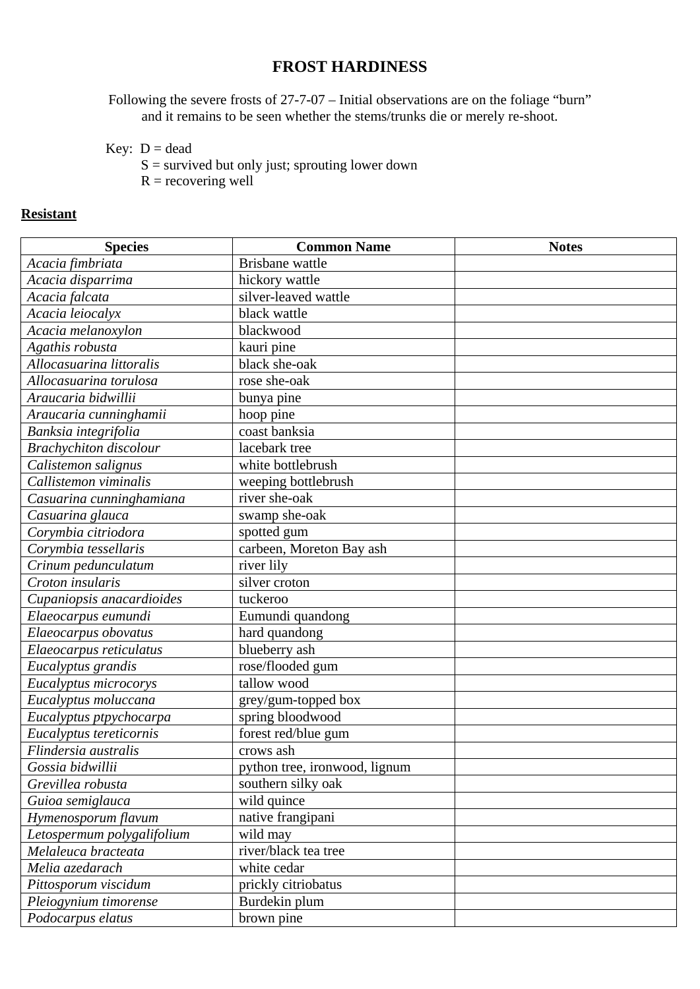## **FROST HARDINESS**

Following the severe frosts of 27-7-07 – Initial observations are on the foliage "burn" and it remains to be seen whether the stems/trunks die or merely re-shoot.

Key:  $D = dead$ 

 $S =$  survived but only just; sprouting lower down

 $R =$  recovering well

## **Resistant**

| <b>Species</b>                          | <b>Common Name</b>            | <b>Notes</b> |
|-----------------------------------------|-------------------------------|--------------|
| Acacia fimbriata                        | <b>Brisbane</b> wattle        |              |
| Acacia disparrima                       | hickory wattle                |              |
| Acacia falcata                          | silver-leaved wattle          |              |
| Acacia leiocalyx                        | black wattle                  |              |
| Acacia melanoxylon                      | blackwood                     |              |
| Agathis robusta                         | kauri pine                    |              |
| Allocasuarina littoralis                | black she-oak                 |              |
| Allocasuarina torulosa                  | rose she-oak                  |              |
| Araucaria bidwillii                     | bunya pine                    |              |
| Araucaria cunninghamii                  | hoop pine                     |              |
| Banksia integrifolia                    | coast banksia                 |              |
| <b>Brachychiton</b> discolour           | lacebark tree                 |              |
| Calistemon salignus                     | white bottlebrush             |              |
| Callistemon viminalis                   | weeping bottlebrush           |              |
| Casuarina cunninghamiana                | river she-oak                 |              |
| Casuarina glauca                        | swamp she-oak                 |              |
| $\overline{\text{Corvmbia}}$ citriodora | spotted gum                   |              |
| Corymbia tessellaris                    | carbeen, Moreton Bay ash      |              |
| Crinum pedunculatum                     | river lily                    |              |
| Croton insularis                        | silver croton                 |              |
| Cupaniopsis anacardioides               | tuckeroo                      |              |
| Elaeocarpus eumundi                     | Eumundi quandong              |              |
| Elaeocarpus obovatus                    | hard quandong                 |              |
| Elaeocarpus reticulatus                 | blueberry ash                 |              |
| Eucalyptus grandis                      | rose/flooded gum              |              |
| Eucalyptus microcorys                   | tallow wood                   |              |
| Eucalyptus moluccana                    | grey/gum-topped box           |              |
| Eucalyptus ptpychocarpa                 | spring bloodwood              |              |
| Eucalyptus tereticornis                 | forest red/blue gum           |              |
| Flindersia australis                    | crows ash                     |              |
| Gossia bidwillii                        | python tree, ironwood, lignum |              |
| Grevillea robusta                       | southern silky oak            |              |
| Guioa semiglauca                        | wild quince                   |              |
| Hymenosporum flavum                     | native frangipani             |              |
| Letospermum polygalifolium              | wild may                      |              |
| Melaleuca bracteata                     | river/black tea tree          |              |
| Melia azedarach                         | white cedar                   |              |
| Pittosporum viscidum                    | prickly citriobatus           |              |
| Pleiogynium timorense                   | Burdekin plum                 |              |
| Podocarpus elatus                       | brown pine                    |              |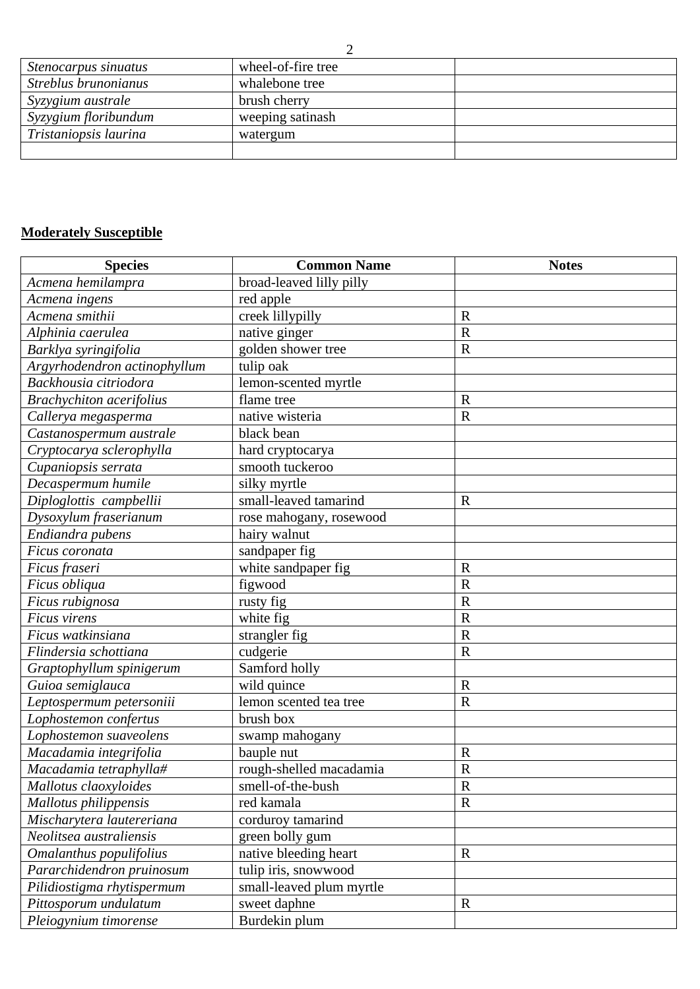| Stenocarpus sinuatus  | wheel-of-fire tree |  |
|-----------------------|--------------------|--|
| Streblus brunonianus  | whalebone tree     |  |
| Syzygium australe     | brush cherry       |  |
| Syzygium floribundum  | weeping satinash   |  |
| Tristaniopsis laurina | watergum           |  |
|                       |                    |  |

## **Moderately Susceptible**

| <b>Species</b>                  | <b>Common Name</b>       | <b>Notes</b>            |
|---------------------------------|--------------------------|-------------------------|
| Acmena hemilampra               | broad-leaved lilly pilly |                         |
| Acmena ingens                   | red apple                |                         |
| Acmena smithii                  | creek lillypilly         | $\mathbf R$             |
| Alphinia caerulea               | native ginger            | $\mathbf R$             |
| Barklya syringifolia            | golden shower tree       | $\mathbf R$             |
| Argyrhodendron actinophyllum    | tulip oak                |                         |
| Backhousia citriodora           | lemon-scented myrtle     |                         |
| <b>Brachychiton</b> acerifolius | flame tree               | $\mathbf R$             |
| Callerya megasperma             | native wisteria          | $\mathbf R$             |
| Castanospermum australe         | black bean               |                         |
| Cryptocarya sclerophylla        | hard cryptocarya         |                         |
| Cupaniopsis serrata             | smooth tuckeroo          |                         |
| Decaspermum humile              | silky myrtle             |                         |
| Diploglottis campbellii         | small-leaved tamarind    | $\mathbf R$             |
| Dysoxylum fraserianum           | rose mahogany, rosewood  |                         |
| Endiandra pubens                | hairy walnut             |                         |
| Ficus coronata                  | sandpaper fig            |                         |
| Ficus fraseri                   | white sandpaper fig      | $\mathbf R$             |
| Ficus obliqua                   | figwood                  | $\mathbf R$             |
| Ficus rubignosa                 | rusty fig                | $\mathbf R$             |
| Ficus virens                    | white fig                | $\mathbf R$             |
| Ficus watkinsiana               | strangler fig            | $\mathbf R$             |
| Flindersia schottiana           | cudgerie                 | $\mathbf R$             |
| Graptophyllum spinigerum        | Samford holly            |                         |
| Guioa semiglauca                | wild quince              | $\mathbf R$             |
| Leptospermum petersoniii        | lemon scented tea tree   | $\mathbf R$             |
| Lophostemon confertus           | brush box                |                         |
| Lophostemon suaveolens          | swamp mahogany           |                         |
| Macadamia integrifolia          | bauple nut               | $\mathbf R$             |
| Macadamia tetraphylla#          | rough-shelled macadamia  | $\mathbf R$             |
| Mallotus claoxyloides           | smell-of-the-bush        | $\overline{\mathbf{R}}$ |
| Mallotus philippensis           | red kamala               | $\mathbf R$             |
| Mischarytera lautereriana       | corduroy tamarind        |                         |
| Neolitsea australiensis         | green bolly gum          |                         |
| Omalanthus populifolius         | native bleeding heart    | $\mathbf R$             |
| Pararchidendron pruinosum       | tulip iris, snowwood     |                         |
| Pilidiostigma rhytispermum      | small-leaved plum myrtle |                         |
| Pittosporum undulatum           | sweet daphne             | $\mathbf R$             |
| Pleiogynium timorense           | Burdekin plum            |                         |